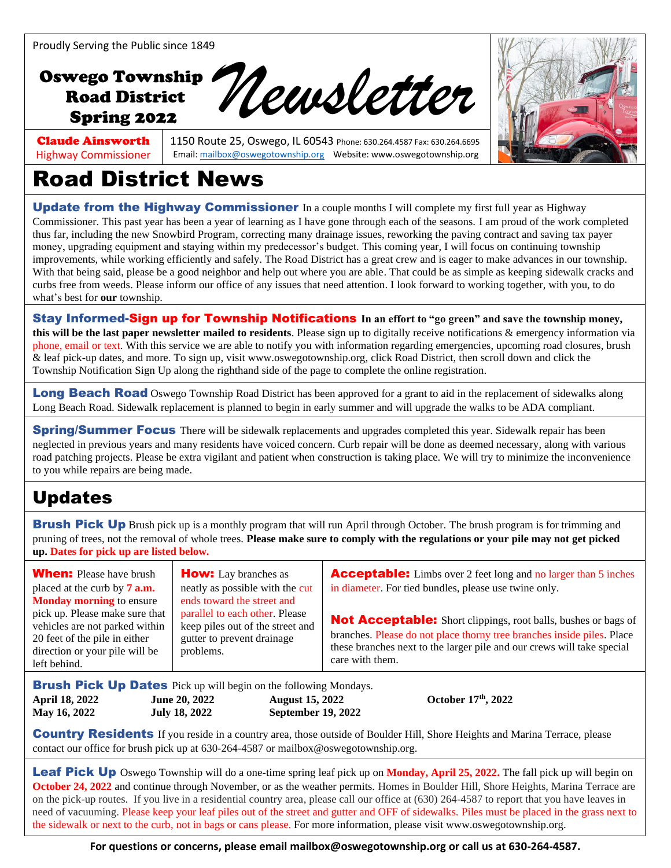## Oswego Township Road District Oswego Township<br>Road District<br>Spring 2022<br>Road District



#### Claude Ainsworth Highway Commissioner

1150 Route 25, Oswego, IL 60543 Phone: 630.264.4587 Fax: 630.264.6695 Email[: mailbox@oswegotownship.org](mailto:mailbox@oswegotownship.org) Website: www.oswegotownship.org

# Road District News

Update from the Highway Commissioner In a couple months I will complete my first full year as Highway Commissioner. This past year has been a year of learning as I have gone through each of the seasons. I am proud of the work completed thus far, including the new Snowbird Program, correcting many drainage issues, reworking the paving contract and saving tax payer money, upgrading equipment and staying within my predecessor's budget. This coming year, I will focus on continuing township improvements, while working efficiently and safely. The Road District has a great crew and is eager to make advances in our township. With that being said, please be a good neighbor and help out where you are able. That could be as simple as keeping sidewalk cracks and curbs free from weeds. Please inform our office of any issues that need attention. I look forward to working together, with you, to do what's best for **our** township.

**Stay Informed-Sign up for Township Notifications** In an effort to "go green" and save the township money, **this will be the last paper newsletter mailed to residents**. Please sign up to digitally receive notifications & emergency information via phone, email or text. With this service we are able to notify you with information regarding emergencies, upcoming road closures, brush & leaf pick-up dates, and more. To sign up, visit [www.oswegotownship.org,](http://www.oswegotownship.org/) click Road District, then scroll down and click the Township Notification Sign Up along the righthand side of the page to complete the online registration.

**Long Beach Road** Oswego Township Road District has been approved for a grant to aid in the replacement of sidewalks along Long Beach Road. Sidewalk replacement is planned to begin in early summer and will upgrade the walks to be ADA compliant.

**Spring/Summer Focus** There will be sidewalk replacements and upgrades completed this year. Sidewalk repair has been neglected in previous years and many residents have voiced concern. Curb repair will be done as deemed necessary, along with various road patching projects. Please be extra vigilant and patient when construction is taking place. We will try to minimize the inconvenience to you while repairs are being made.

### Updates

**Brush Pick Up** Brush pick up is a monthly program that will run April through October. The brush program is for trimming and pruning of trees, not the removal of whole trees. **Please make sure to comply with the regulations or your pile may not get picked up. Dates for pick up are listed below.**

When: Please have brush placed at the curb by **7 a.m. Monday morning** to ensure pick up. Please make sure that vehicles are not parked within 20 feet of the pile in either direction or your pile will be left behind. **How:** Lay branches as neatly as possible with the cut ends toward the street and parallel to each other. Please keep piles out of the street and gutter to prevent drainage problems. Acceptable: Limbs over 2 feet long and no larger than 5 inches in diameter. For tied bundles, please use twine only. Not Acceptable: Short clippings, root balls, bushes or bags of branches. Please do not place thorny tree branches inside piles. Place these branches next to the larger pile and our crews will take special care with them.

**Brush Pick Up Dates** Pick up will begin on the following Mondays. **April 18, 2022 June 20, 2022 August 15, 2022 May 16, 2022 July 18, 2022 September 19, 2022**

October 17<sup>th</sup>, 2022

**Country Residents** If you reside in a country area, those outside of Boulder Hill, Shore Heights and Marina Terrace, please contact our office for brush pick up at 630-264-4587 or mailbox@oswegotownship.org.

Leaf Pick Up Oswego Township will do a one-time spring leaf pick up on Monday, April 25, 2022. The fall pick up will begin on **October 24, 2022** and continue through November, or as the weather permits. Homes in Boulder Hill, Shore Heights, Marina Terrace are on the pick-up routes. If you live in a residential country area, please call our office at (630) 264-4587 to report that you have leaves in need of vacuuming. Please keep your leaf piles out of the street and gutter and OFF of sidewalks. Piles must be placed in the grass next to the sidewalk or next to the curb, not in bags or cans please. For more information, please visit www.oswegotownship.org.

**For questions or concerns, please email mailbox@oswegotownship.org or call us at 630-264-4587.**